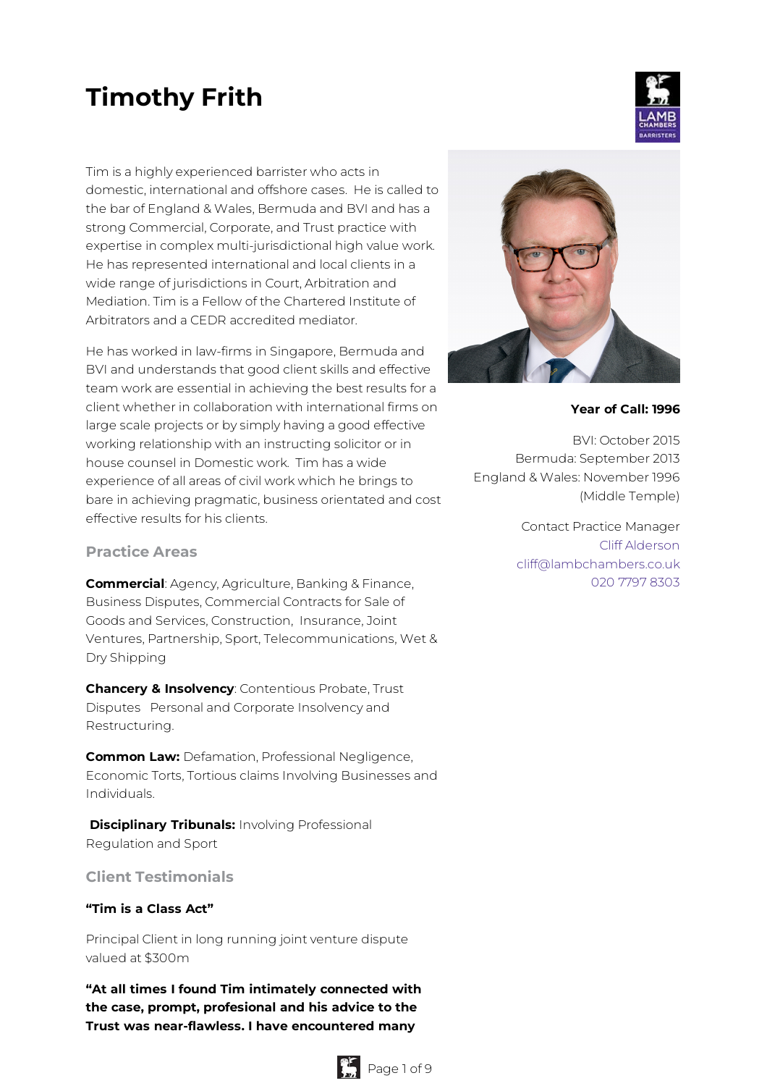# **Timothy Frith**

Tim is a highly experienced barrister who acts in domestic, international and offshore cases. He is called to the bar of England & Wales, Bermuda and BVI and has a strong Commercial, Corporate, and Trust practice with expertise in complex multi-jurisdictional high value work. He has represented international and local clients in a wide range of jurisdictions in Court, Arbitration and Mediation. Tim is a Fellow of the Chartered Institute of Arbitrators and a CEDR accredited mediator.

He has worked in law-firms in Singapore, Bermuda and BVI and understands that good client skills and effective team work are essential in achieving the best results for a client whether in collaboration with international firms on large scale projects or by simply having a good effective working relationship with an instructing solicitor or in house counsel in Domestic work. Tim has a wide experience of all areas of civil work which he brings to bare in achieving pragmatic, business orientated and cost effective results for his clients.

#### **Practice Areas**

**Commercial**: Agency, Agriculture, Banking & Finance, Business Disputes, Commercial Contracts for Sale of Goods and Services, Construction, Insurance, Joint Ventures, Partnership, Sport, Telecommunications, Wet & Dry Shipping

**Chancery & Insolvency**: Contentious Probate, Trust Disputes Personal and Corporate Insolvency and Restructuring.

**Common Law:** Defamation, Professional Negligence, Economic Torts, Tortious claims Involving Businesses and Individuals.

**Disciplinary Tribunals:** Involving Professional Regulation and Sport

# **Client Testimonials**

#### **"Tim is a Class Act"**

Principal Client in long running joint venture dispute valued at \$300m

**"At all times I found Tim intimately connected with the case, prompt, profesional and his advice to the Trust was near-flawless. I have encountered many**





#### **Year of Call: 1996**

BVI: October 2015 Bermuda: September 2013 England & Wales: November 1996 (Middle Temple)

> Contact Practice Manager Cliff [Alderson](mailto:cliff@lambchambers.co.uk) [cliff@lambchambers.co.uk](mailto:cliff@lambchambers.co.uk) 020 7797 [8303](tel:020%207797%208303)

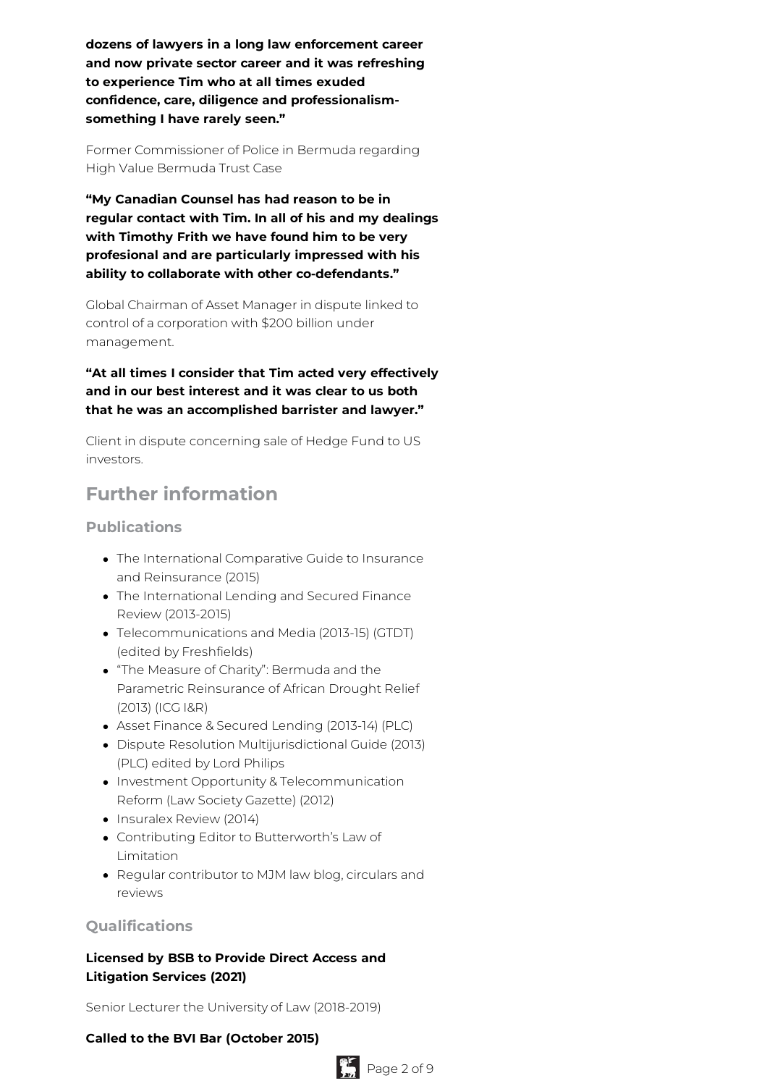**dozens of lawyers in a long law enforcement career and now private sector career and it was refreshing to experience Tim who at all times exuded confidence, care, diligence and professionalismsomething I have rarely seen."**

Former Commissioner of Police in Bermuda regarding High Value Bermuda Trust Case

**"My Canadian Counsel has had reason to be in regular contact with Tim. In all of his and my dealings with Timothy Frith we have found him to be very profesional and are particularly impressed with his ability to collaborate with other co-defendants."**

Global Chairman of Asset Manager in dispute linked to control of a corporation with \$200 billion under management.

**"At all times I consider that Tim acted very effectively and in our best interest and it was clear to us both that he was an accomplished barrister and lawyer."**

Client in dispute concerning sale of Hedge Fund to US investors.

# **Further information**

# **Publications**

- The International Comparative Guide to Insurance and Reinsurance (2015)
- The International Lending and Secured Finance Review (2013-2015)
- Telecommunications and Media (2013-15) (GTDT) (edited by Freshfields)
- "The Measure of Charity": Bermuda and the Parametric Reinsurance of African Drought Relief (2013) (ICG I&R)
- Asset Finance & Secured Lending (2013-14) (PLC)
- Dispute Resolution Multijurisdictional Guide (2013) (PLC) edited by Lord Philips
- Investment Opportunity & Telecommunication Reform (Law Society Gazette) (2012)
- Insuralex Review (2014)
- Contributing Editor to Butterworth's Law of Limitation
- Regular contributor to MJM law blog, circulars and reviews

# **Qualifications**

# **Licensed by BSB to Provide Direct Access and Litigation Services (2021)**

Senior Lecturer the University of Law (2018-2019)

#### **Called to the BVI Bar (October 2015)**

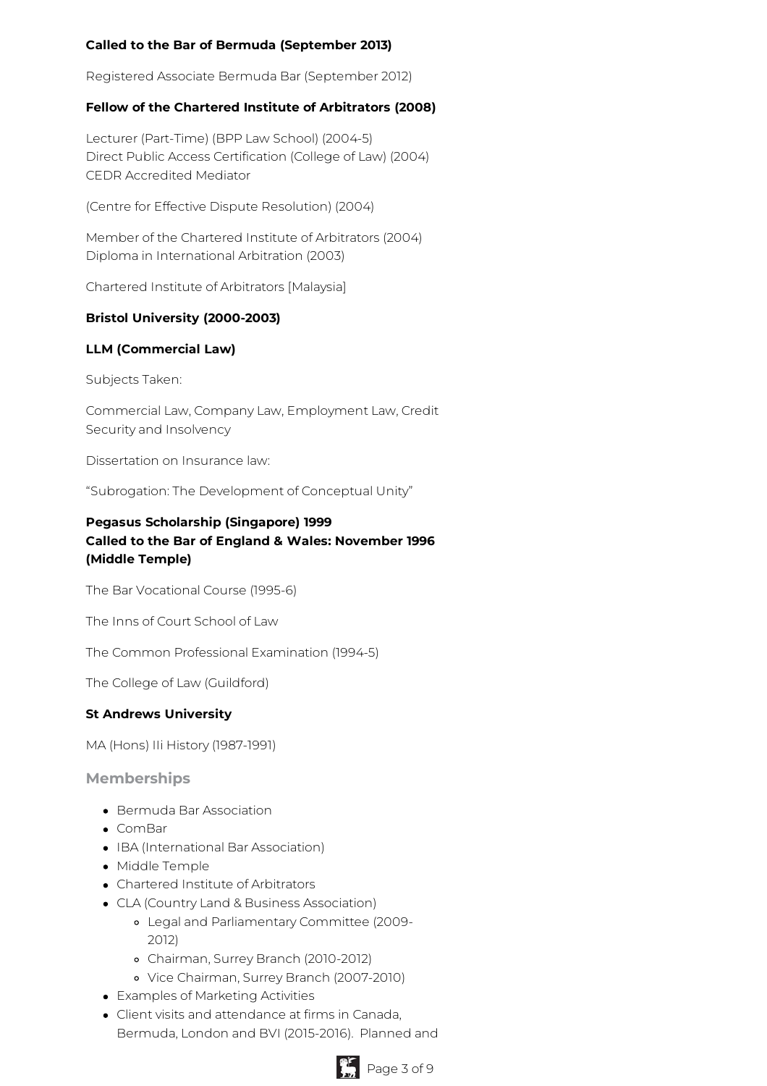# **Called to the Bar of Bermuda (September 2013)**

Registered Associate Bermuda Bar (September 2012)

#### **Fellow of the Chartered Institute of Arbitrators (2008)**

Lecturer (Part-Time) (BPP Law School) (2004-5) Direct Public Access Certification (College of Law) (2004) CEDR Accredited Mediator

(Centre for Effective Dispute Resolution) (2004)

Member of the Chartered Institute of Arbitrators (2004) Diploma in International Arbitration (2003)

Chartered Institute of Arbitrators [Malaysia]

#### **Bristol University (2000-2003)**

#### **LLM (Commercial Law)**

Subjects Taken:

Commercial Law, Company Law, Employment Law, Credit Security and Insolvency

Dissertation on Insurance law:

"Subrogation: The Development of Conceptual Unity"

# **Pegasus Scholarship (Singapore) 1999 Called to the Bar of England & Wales: November 1996 (Middle Temple)**

The Bar Vocational Course (1995-6)

The Inns of Court School of Law

The Common Professional Examination (1994-5)

The College of Law (Guildford)

#### **St Andrews University**

MA (Hons) IIi History (1987-1991)

**Memberships**

- Bermuda Bar Association
- ComBar
- IBA (International Bar Association)
- Middle Temple
- Chartered Institute of Arbitrators
- CLA (Country Land & Business Association)
	- Legal and Parliamentary Committee (2009- 2012)
	- Chairman, Surrey Branch (2010-2012)
	- Vice Chairman, Surrey Branch (2007-2010)
- Examples of Marketing Activities
- Client visits and attendance at firms in Canada, Bermuda, London and BVI (2015-2016). Planned and

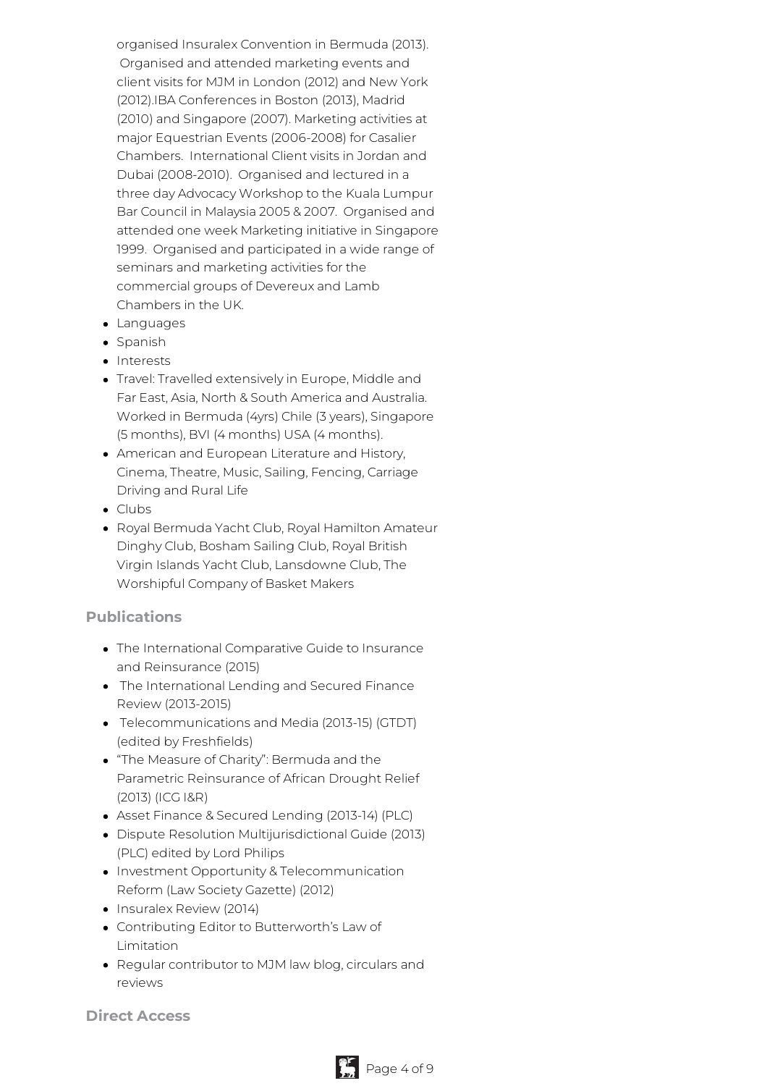organised Insuralex Convention in Bermuda (2013). Organised and attended marketing events and client visits for MJM in London (2012) and New York (2012).IBA Conferences in Boston (2013), Madrid (2010) and Singapore (2007). Marketing activities at major Equestrian Events (2006-2008) for Casalier Chambers. International Client visits in Jordan and Dubai (2008-2010). Organised and lectured in a three day Advocacy Workshop to the Kuala Lumpur Bar Council in Malaysia 2005 & 2007. Organised and attended one week Marketing initiative in Singapore 1999. Organised and participated in a wide range of seminars and marketing activities for the commercial groups of Devereux and Lamb Chambers in the UK.

- Languages
- Spanish
- Interests
- Travel: Travelled extensively in Europe, Middle and Far East, Asia, North & South America and Australia. Worked in Bermuda (4yrs) Chile (3 years), Singapore (5 months), BVI (4 months) USA (4 months).
- American and European Literature and History, Cinema, Theatre, Music, Sailing, Fencing, Carriage Driving and Rural Life
- Clubs
- Royal Bermuda Yacht Club, Royal Hamilton Amateur Dinghy Club, Bosham Sailing Club, Royal British Virgin Islands Yacht Club, Lansdowne Club, The Worshipful Company of Basket Makers

#### **Publications**

- The International Comparative Guide to Insurance and Reinsurance (2015)
- The International Lending and Secured Finance Review (2013-2015)
- Telecommunications and Media (2013-15) (GTDT) (edited by Freshfields)
- "The Measure of Charity": Bermuda and the Parametric Reinsurance of African Drought Relief (2013) (ICG I&R)
- Asset Finance & Secured Lending (2013-14) (PLC)
- Dispute Resolution Multijurisdictional Guide (2013) (PLC) edited by Lord Philips
- Investment Opportunity & Telecommunication Reform (Law Society Gazette) (2012)
- Insuralex Review (2014)
- Contributing Editor to Butterworth's Law of Limitation
- Regular contributor to MJM law blog, circulars and reviews

**Direct Access**

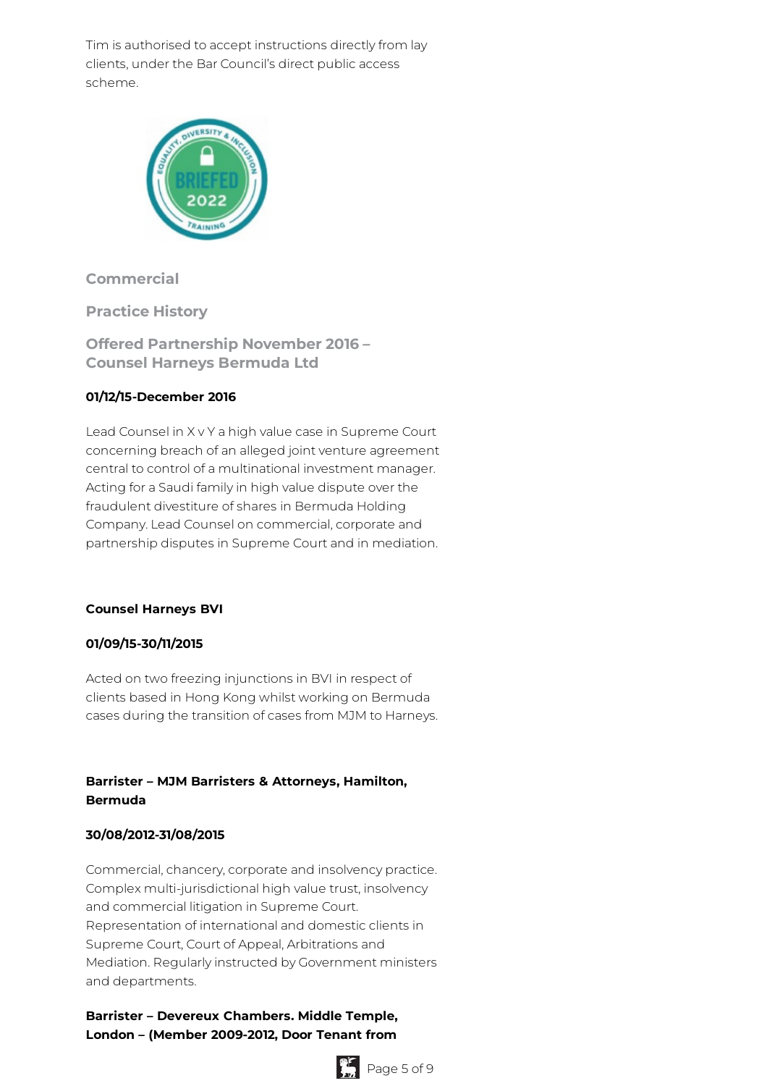Tim is authorised to accept instructions directly from lay clients, under the Bar Council's direct public access scheme.



# **Commercial**

**Practice History**

**Offered Partnership November 2016 – Counsel Harneys Bermuda Ltd**

# **01/12/15-December 2016**

Lead Counsel in X v Y a high value case in Supreme Court concerning breach of an alleged joint venture agreement central to control of a multinational investment manager. Acting for a Saudi family in high value dispute over the fraudulent divestiture of shares in Bermuda Holding Company. Lead Counsel on commercial, corporate and partnership disputes in Supreme Court and in mediation.

#### **Counsel Harneys BVI**

#### **01/09/15-30/11/2015**

Acted on two freezing injunctions in BVI in respect of clients based in Hong Kong whilst working on Bermuda cases during the transition of cases from MJM to Harneys.

# **Barrister – MJM Barristers & Attorneys, Hamilton, Bermuda**

# **30/08/2012-31/08/2015**

Commercial, chancery, corporate and insolvency practice. Complex multi-jurisdictional high value trust, insolvency and commercial litigation in Supreme Court. Representation of international and domestic clients in Supreme Court, Court of Appeal, Arbitrations and Mediation. Regularly instructed by Government ministers and departments.

# **Barrister – Devereux Chambers. Middle Temple, London – (Member 2009-2012, Door Tenant from**

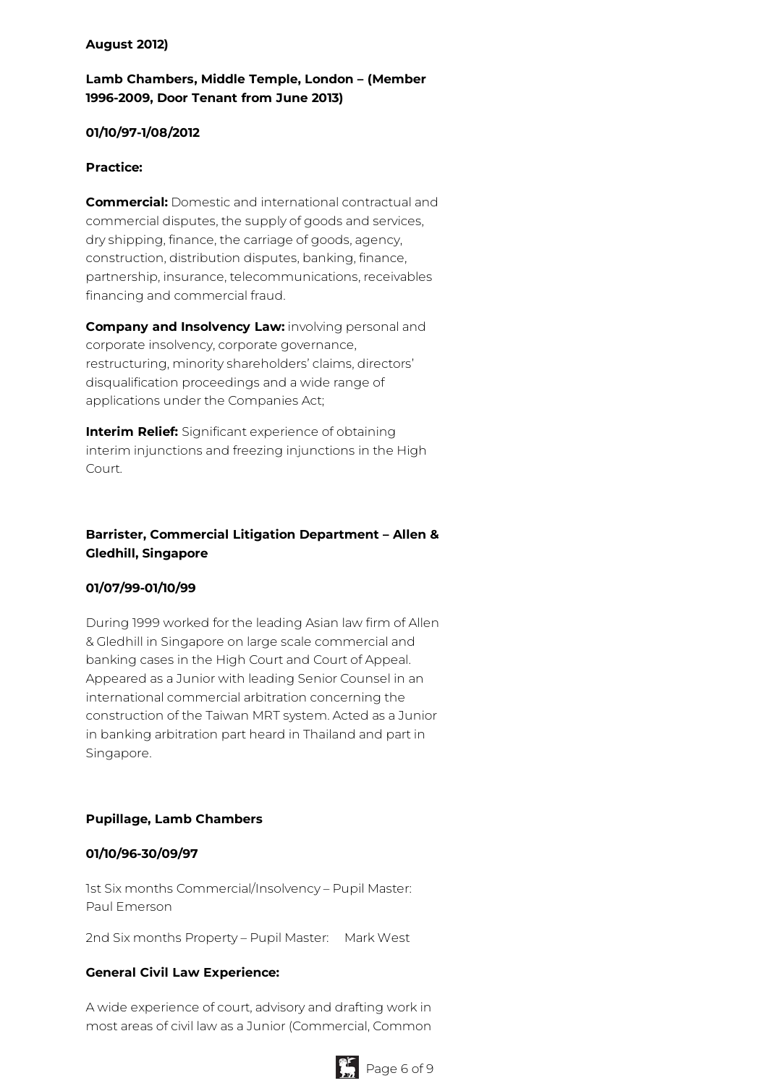#### **August 2012)**

# **Lamb Chambers, Middle Temple, London – (Member 1996-2009, Door Tenant from June 2013)**

#### **01/10/97-1/08/2012**

#### **Practice:**

**Commercial:** Domestic and international contractual and commercial disputes, the supply of goods and services, dry shipping, finance, the carriage of goods, agency, construction, distribution disputes, banking, finance, partnership, insurance, telecommunications, receivables financing and commercial fraud.

**Company and Insolvency Law:** involving personal and corporate insolvency, corporate governance, restructuring, minority shareholders' claims, directors' disqualification proceedings and a wide range of applications under the Companies Act;

**Interim Relief:** Significant experience of obtaining interim injunctions and freezing injunctions in the High Court.

# **Barrister, Commercial Litigation Department – Allen & Gledhill, Singapore**

#### **01/07/99-01/10/99**

During 1999 worked for the leading Asian law firm of Allen & Gledhill in Singapore on large scale commercial and banking cases in the High Court and Court of Appeal. Appeared as a Junior with leading Senior Counsel in an international commercial arbitration concerning the construction of the Taiwan MRT system. Acted as a Junior in banking arbitration part heard in Thailand and part in Singapore.

#### **Pupillage, Lamb Chambers**

#### **01/10/96-30/09/97**

1st Six months Commercial/Insolvency – Pupil Master: Paul Emerson

2nd Six months Property - Pupil Master: Mark West

#### **General Civil Law Experience:**

A wide experience of court, advisory and drafting work in most areas of civil law as a Junior (Commercial, Common

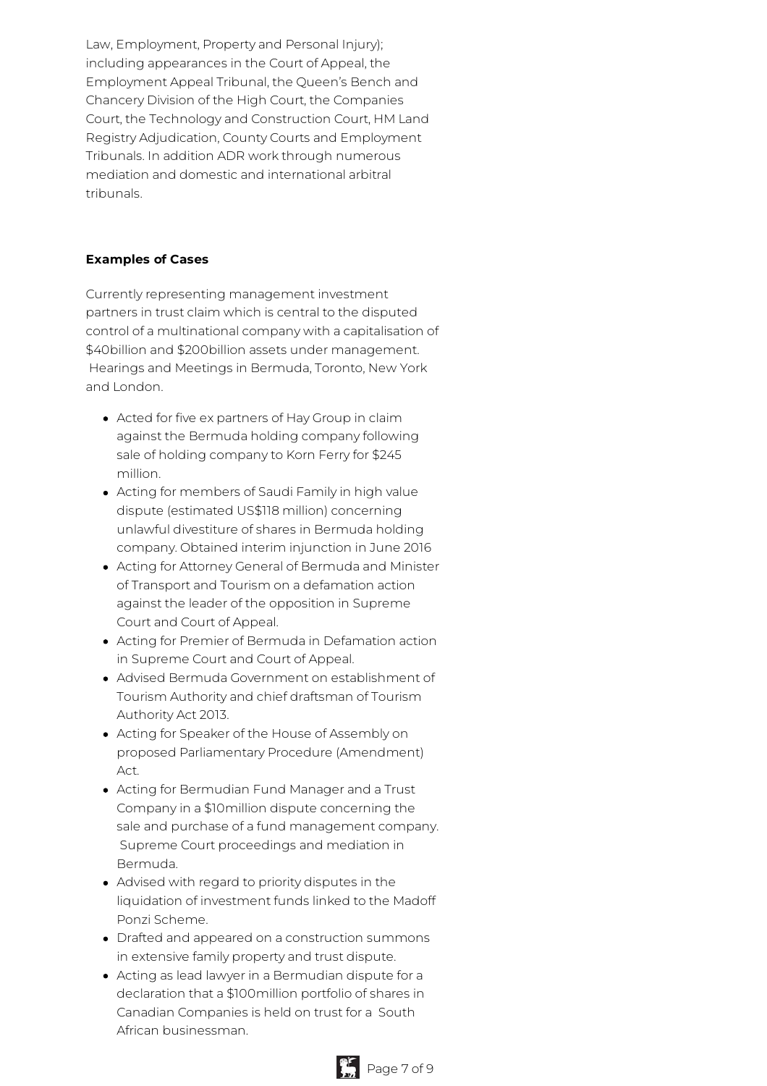Law, Employment, Property and Personal Injury); including appearances in the Court of Appeal, the Employment Appeal Tribunal, the Queen's Bench and Chancery Division of the High Court, the Companies Court, the Technology and Construction Court, HM Land Registry Adjudication, County Courts and Employment Tribunals. In addition ADR work through numerous mediation and domestic and international arbitral tribunals.

#### **Examples of Cases**

Currently representing management investment partners in trust claim which is central to the disputed control of a multinational company with a capitalisation of \$40billion and \$200billion assets under management. Hearings and Meetings in Bermuda, Toronto, New York and London.

- Acted for five ex partners of Hay Group in claim against the Bermuda holding company following sale of holding company to Korn Ferry for \$245 million.
- Acting for members of Saudi Family in high value dispute (estimated US\$118 million) concerning unlawful divestiture of shares in Bermuda holding company. Obtained interim injunction in June 2016
- Acting for Attorney General of Bermuda and Minister of Transport and Tourism on a defamation action against the leader of the opposition in Supreme Court and Court of Appeal.
- Acting for Premier of Bermuda in Defamation action in Supreme Court and Court of Appeal.
- Advised Bermuda Government on establishment of Tourism Authority and chief draftsman of Tourism Authority Act 2013.
- Acting for Speaker of the House of Assembly on proposed Parliamentary Procedure (Amendment) Act.
- Acting for Bermudian Fund Manager and a Trust Company in a \$10million dispute concerning the sale and purchase of a fund management company. Supreme Court proceedings and mediation in Bermuda.
- Advised with regard to priority disputes in the liquidation of investment funds linked to the Madoff Ponzi Scheme.
- Drafted and appeared on a construction summons in extensive family property and trust dispute.
- Acting as lead lawyer in a Bermudian dispute for a declaration that a \$100million portfolio of shares in Canadian Companies is held on trust for a South African businessman.

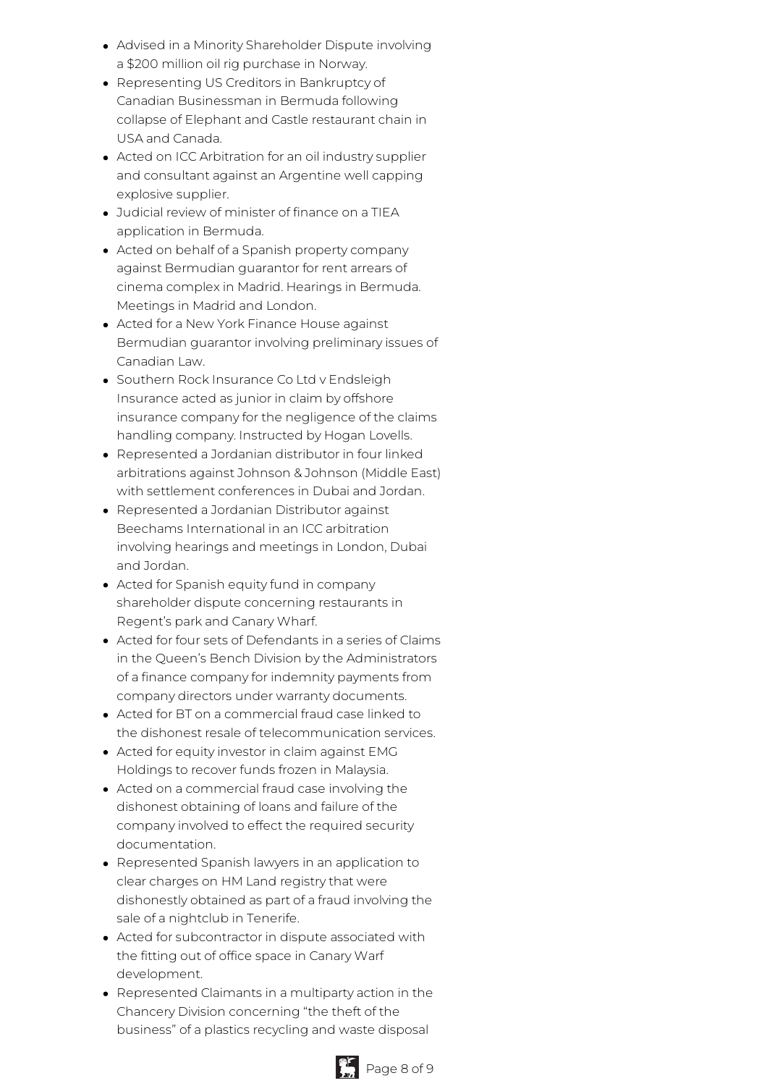- Advised in a Minority Shareholder Dispute involving a \$200 million oil rig purchase in Norway.
- Representing US Creditors in Bankruptcy of Canadian Businessman in Bermuda following collapse of Elephant and Castle restaurant chain in USA and Canada.
- Acted on ICC Arbitration for an oil industry supplier and consultant against an Argentine well capping explosive supplier.
- Judicial review of minister of finance on a TIEA application in Bermuda.
- Acted on behalf of a Spanish property company against Bermudian guarantor for rent arrears of cinema complex in Madrid. Hearings in Bermuda. Meetings in Madrid and London.
- Acted for a New York Finance House against Bermudian guarantor involving preliminary issues of Canadian Law.
- Southern Rock Insurance Co Ltd y Endsleigh Insurance acted as junior in claim by offshore insurance company for the negligence of the claims handling company. Instructed by Hogan Lovells.
- Represented a Jordanian distributor in four linked arbitrations against Johnson & Johnson (Middle East) with settlement conferences in Dubai and Jordan.
- Represented a Jordanian Distributor against Beechams International in an ICC arbitration involving hearings and meetings in London, Dubai and Jordan.
- Acted for Spanish equity fund in company shareholder dispute concerning restaurants in Regent's park and Canary Wharf.
- Acted for four sets of Defendants in a series of Claims in the Queen's Bench Division by the Administrators of a finance company for indemnity payments from company directors under warranty documents.
- Acted for BT on a commercial fraud case linked to the dishonest resale of telecommunication services.
- Acted for equity investor in claim against EMG Holdings to recover funds frozen in Malaysia.
- Acted on a commercial fraud case involving the dishonest obtaining of loans and failure of the company involved to effect the required security documentation.
- Represented Spanish lawyers in an application to clear charges on HM Land registry that were dishonestly obtained as part of a fraud involving the sale of a nightclub in Tenerife.
- Acted for subcontractor in dispute associated with the fitting out of office space in Canary Warf development.
- Represented Claimants in a multiparty action in the Chancery Division concerning "the theft of the business" of a plastics recycling and waste disposal